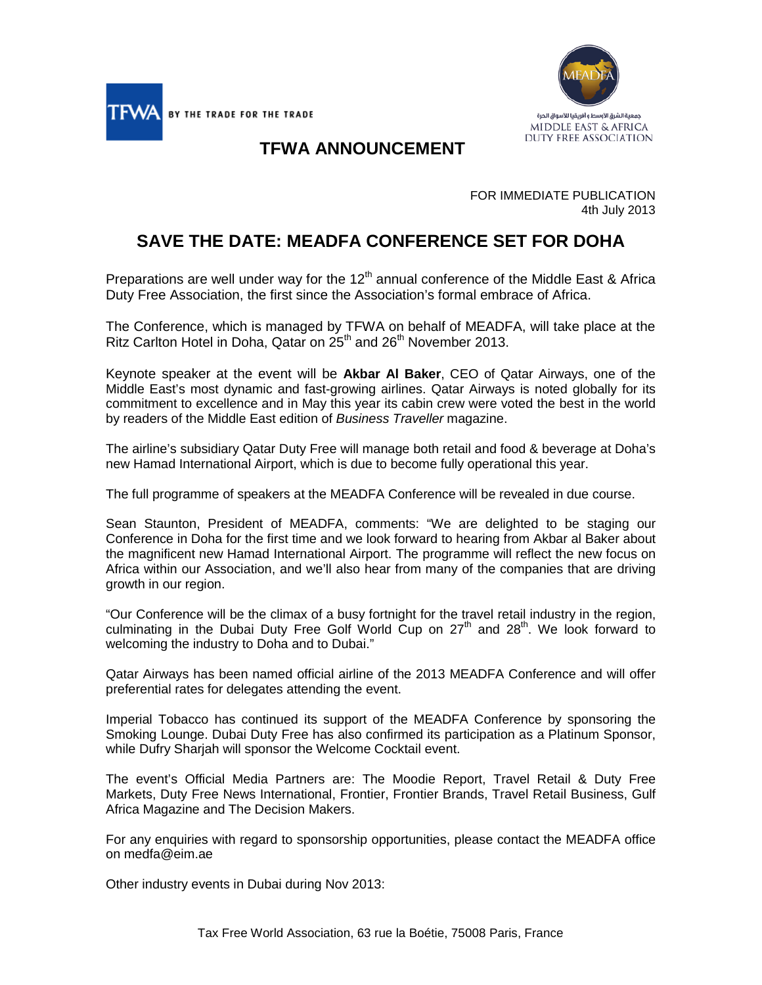



## **TFWA ANNOUNCEMENT**

FOR IMMEDIATE PUBLICATION 4th July 2013

## **SAVE THE DATE: MEADFA CONFERENCE SET FOR DOHA**

Preparations are well under way for the  $12<sup>th</sup>$  annual conference of the Middle East & Africa Duty Free Association, the first since the Association's formal embrace of Africa.

The Conference, which is managed by TFWA on behalf of MEADFA, will take place at the Ritz Carlton Hotel in Doha, Qatar on 25<sup>th</sup> and 26<sup>th</sup> November 2013.

Keynote speaker at the event will be **Akbar Al Baker**, CEO of Qatar Airways, one of the Middle East's most dynamic and fast-growing airlines. Qatar Airways is noted globally for its commitment to excellence and in May this year its cabin crew were voted the best in the world by readers of the Middle East edition of *Business Traveller* magazine.

The airline's subsidiary Qatar Duty Free will manage both retail and food & beverage at Doha's new Hamad International Airport, which is due to become fully operational this year.

The full programme of speakers at the MEADFA Conference will be revealed in due course.

Sean Staunton, President of MEADFA, comments: "We are delighted to be staging our Conference in Doha for the first time and we look forward to hearing from Akbar al Baker about the magnificent new Hamad International Airport. The programme will reflect the new focus on Africa within our Association, and we'll also hear from many of the companies that are driving growth in our region.

"Our Conference will be the climax of a busy fortnight for the travel retail industry in the region, culminating in the Dubai Duty Free Golf World Cup on  $27<sup>th</sup>$  and  $28<sup>th</sup>$ . We look forward to welcoming the industry to Doha and to Dubai."

Qatar Airways has been named official airline of the 2013 MEADFA Conference and will offer preferential rates for delegates attending the event.

Imperial Tobacco has continued its support of the MEADFA Conference by sponsoring the Smoking Lounge. Dubai Duty Free has also confirmed its participation as a Platinum Sponsor, while Dufry Sharjah will sponsor the Welcome Cocktail event.

The event's Official Media Partners are: The Moodie Report, Travel Retail & Duty Free Markets, Duty Free News International, Frontier, Frontier Brands, Travel Retail Business, Gulf Africa Magazine and The Decision Makers.

For any enquiries with regard to sponsorship opportunities, please contact the MEADFA office on medfa@eim.ae

Other industry events in Dubai during Nov 2013: